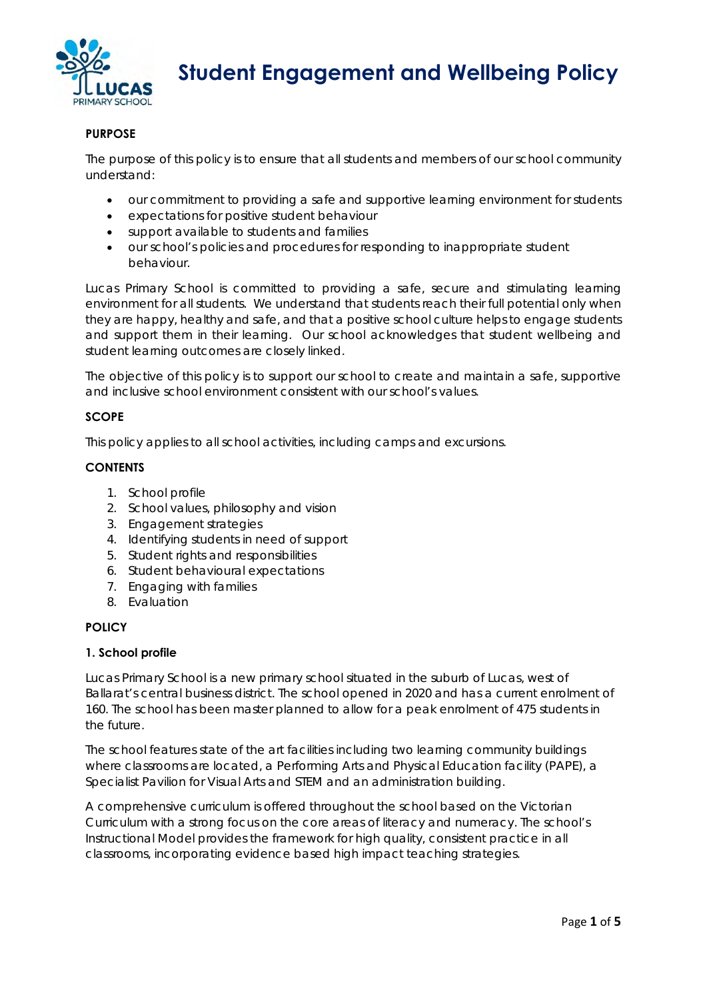

 **Student Engagement and Wellbeing Policy**

# **PURPOSE**

The purpose of this policy is to ensure that all students and members of our school community understand:

- our commitment to providing a safe and supportive learning environment for students
- expectations for positive student behaviour
- support available to students and families
- our school's policies and procedures for responding to inappropriate student behaviour.

Lucas Primary School is committed to providing a safe, secure and stimulating learning environment for all students. We understand that students reach their full potential only when they are happy, healthy and safe, and that a positive school culture helps to engage students and support them in their learning. Our school acknowledges that student wellbeing and student learning outcomes are closely linked.

The objective of this policy is to support our school to create and maintain a safe, supportive and inclusive school environment consistent with our school's values.

### **SCOPE**

This policy applies to all school activities, including camps and excursions.

### **CONTENTS**

- 1. School profile
- 2. School values, philosophy and vision
- 3. Engagement strategies
- 4. Identifying students in need of support
- 5. Student rights and responsibilities
- 6. Student behavioural expectations
- 7. Engaging with families
- 8. Evaluation

#### **POLICY**

#### **1. School profile**

Lucas Primary School is a new primary school situated in the suburb of Lucas, west of Ballarat's central business district. The school opened in 2020 and has a current enrolment of 160. The school has been master planned to allow for a peak enrolment of 475 students in the future.

The school features state of the art facilities including two learning community buildings where classrooms are located, a Performing Arts and Physical Education facility (PAPE), a Specialist Pavilion for Visual Arts and STEM and an administration building.

A comprehensive curriculum is offered throughout the school based on the Victorian Curriculum with a strong focus on the core areas of literacy and numeracy. The school's Instructional Model provides the framework for high quality, consistent practice in all classrooms, incorporating evidence based high impact teaching strategies.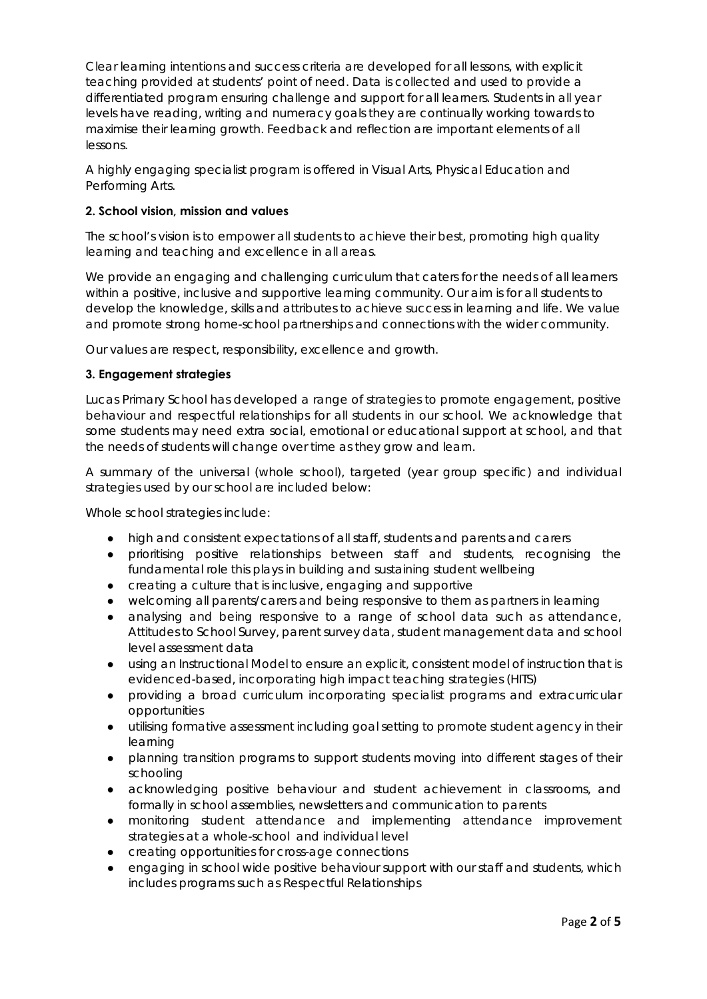Clear learning intentions and success criteria are developed for all lessons, with explicit teaching provided at students' point of need. Data is collected and used to provide a differentiated program ensuring challenge and support for all learners. Students in all year levels have reading, writing and numeracy goals they are continually working towards to maximise their learning growth. Feedback and reflection are important elements of all lessons.

A highly engaging specialist program is offered in Visual Arts, Physical Education and Performing Arts.

# **2. School vision, mission and values**

The school's vision is to empower all students to achieve their best, promoting high quality learning and teaching and excellence in all areas.

We provide an engaging and challenging curriculum that caters for the needs of all learners within a positive, inclusive and supportive learning community. Our aim is for all students to develop the knowledge, skills and attributes to achieve success in learning and life. We value and promote strong home-school partnerships and connections with the wider community.

Our values are respect, responsibility, excellence and growth.

### **3. Engagement strategies**

Lucas Primary School has developed a range of strategies to promote engagement, positive behaviour and respectful relationships for all students in our school. We acknowledge that some students may need extra social, emotional or educational support at school, and that the needs of students will change over time as they grow and learn.

A summary of the universal (whole school), targeted (year group specific) and individual strategies used by our school are included below:

Whole school strategies include:

- high and consistent expectations of all staff, students and parents and carers
- prioritising positive relationships between staff and students, recognising the fundamental role this plays in building and sustaining student wellbeing
- creating a culture that is inclusive, engaging and supportive
- welcoming all parents/carers and being responsive to them as partners in learning
- analysing and being responsive to a range of school data such as attendance, Attitudes to School Survey, parent survey data, student management data and school level assessment data
- using an Instructional Model to ensure an explicit, consistent model of instruction that is evidenced-based, incorporating high impact teaching strategies (HITS)
- providing a broad curriculum incorporating specialist programs and extracurricular opportunities
- utilising formative assessment including goal setting to promote student agency in their learning
- planning transition programs to support students moving into different stages of their schooling
- acknowledging positive behaviour and student achievement in classrooms, and formally in school assemblies, newsletters and communication to parents
- monitoring student attendance and implementing attendance improvement strategies at a whole-school and individual level
- creating opportunities for cross-age connections
- engaging in school wide positive behaviour support with our staff and students, which includes programs such as Respectful Relationships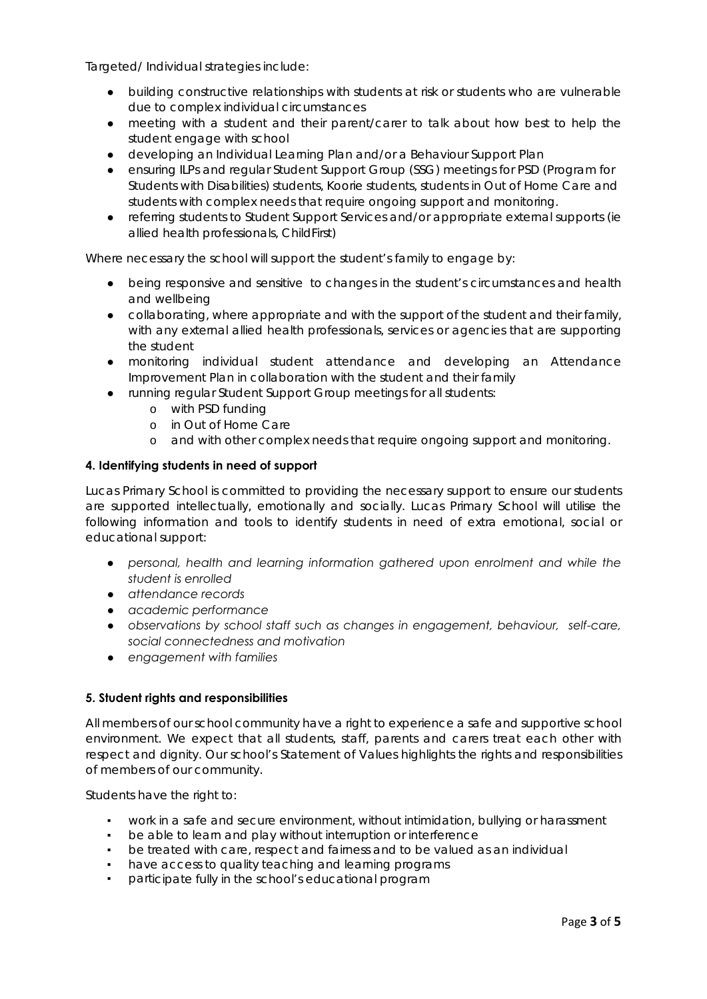Targeted/ Individual strategies include:

- building constructive relationships with students at risk or students who are vulnerable due to complex individual circumstances
- meeting with a student and their parent/carer to talk about how best to help the student engage with school
- developing an Individual Learning Plan and/or a Behaviour Support Plan
- ensuring ILPs and regular Student Support Group (SSG) meetings for PSD (Program for Students with Disabilities) students, Koorie students, students in Out of Home Care and students with complex needs that require ongoing support and monitoring.
- referring students to Student Support Services and/or appropriate external supports (ie allied health professionals, ChildFirst)

Where necessary the school will support the student's family to engage by:

- being responsive and sensitive to changes in the student's circumstances and health and wellbeing
- collaborating, where appropriate and with the support of the student and their family, with any external allied health professionals, services or agencies that are supporting the student
- monitoring individual student attendance and developing an Attendance Improvement Plan in collaboration with the student and their family
- running regular Student Support Group meetings for all students:
	- o with PSD funding
	- o in Out of Home Care
	- o and with other complex needs that require ongoing support and monitoring.

#### **4. Identifying students in need of support**

Lucas Primary School is committed to providing the necessary support to ensure our students are supported intellectually, emotionally and socially. Lucas Primary School will utilise the following information and tools to identify students in need of extra emotional, social or educational support:

- *personal, health and learning information gathered upon enrolment and while the student is enrolled*
- *attendance records*
- *academic performance*
- *observations by school staff such as changes in engagement, behaviour, self-care, social connectedness and motivation*
- *engagement with families*

#### **5. Student rights and responsibilities**

All members of our school community have a right to experience a safe and supportive school environment. We expect that all students, staff, parents and carers treat each other with respect and dignity. Our school's Statement of Values highlights the rights and responsibilities of members of our community.

Students have the right to:

- work in a safe and secure environment, without intimidation, bullying or harassment
- be able to learn and play without interruption or interference
- be treated with care, respect and fairness and to be valued as an individual
- have access to quality teaching and learning programs
- participate fully in the school's educational program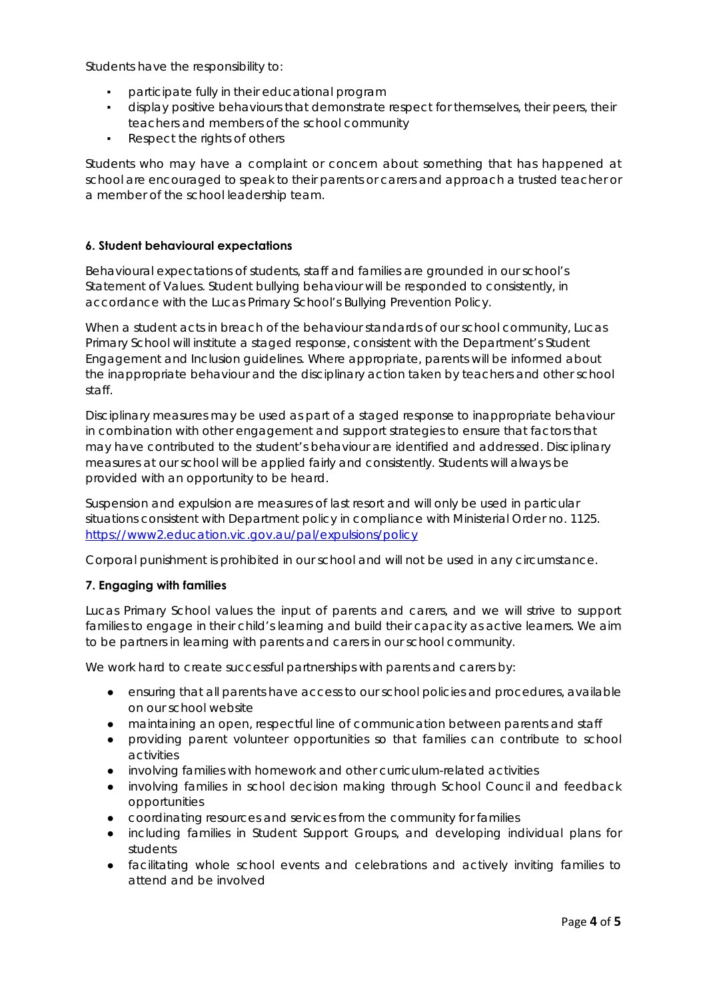Students have the responsibility to:

- participate fully in their educational program
- display positive behaviours that demonstrate respect for themselves, their peers, their teachers and members of the school community
- Respect the rights of others

Students who may have a complaint or concern about something that has happened at school are encouraged to speak to their parents or carers and approach a trusted teacher or a member of the school leadership team.

### **6. Student behavioural expectations**

Behavioural expectations of students, staff and families are grounded in our school's Statement of Values. Student bullying behaviour will be responded to consistently, in accordance with the Lucas Primary School's Bullying Prevention Policy.

When a student acts in breach of the behaviour standards of our school community, Lucas Primary School will institute a staged response, consistent with the Department's Student Engagement and Inclusion guidelines. Where appropriate, parents will be informed about the inappropriate behaviour and the disciplinary action taken by teachers and other school staff.

Disciplinary measures may be used as part of a staged response to inappropriate behaviour in combination with other engagement and support strategies to ensure that factors that may have contributed to the student's behaviour are identified and addressed. Disciplinary measures at our school will be applied fairly and consistently. Students will always be provided with an opportunity to be heard.

Suspension and expulsion are measures of last resort and will only be used in particular situations consistent with Department policy in compliance with Ministerial Order no. 1125. https://www2.education.vic.gov.au/pal/expulsions/policy

Corporal punishment is prohibited in our school and will not be used in any circumstance.

# **7. Engaging with families**

Lucas Primary School values the input of parents and carers, and we will strive to support families to engage in their child's learning and build their capacity as active learners. We aim to be partners in learning with parents and carers in our school community.

We work hard to create successful partnerships with parents and carers by:

- ensuring that all parents have access to our school policies and procedures, available on our school website
- maintaining an open, respectful line of communication between parents and staff
- providing parent volunteer opportunities so that families can contribute to school activities
- involving families with homework and other curriculum-related activities
- involving families in school decision making through School Council and feedback opportunities
- coordinating resources and services from the community for families
- including families in Student Support Groups, and developing individual plans for students
- facilitating whole school events and celebrations and actively inviting families to attend and be involved